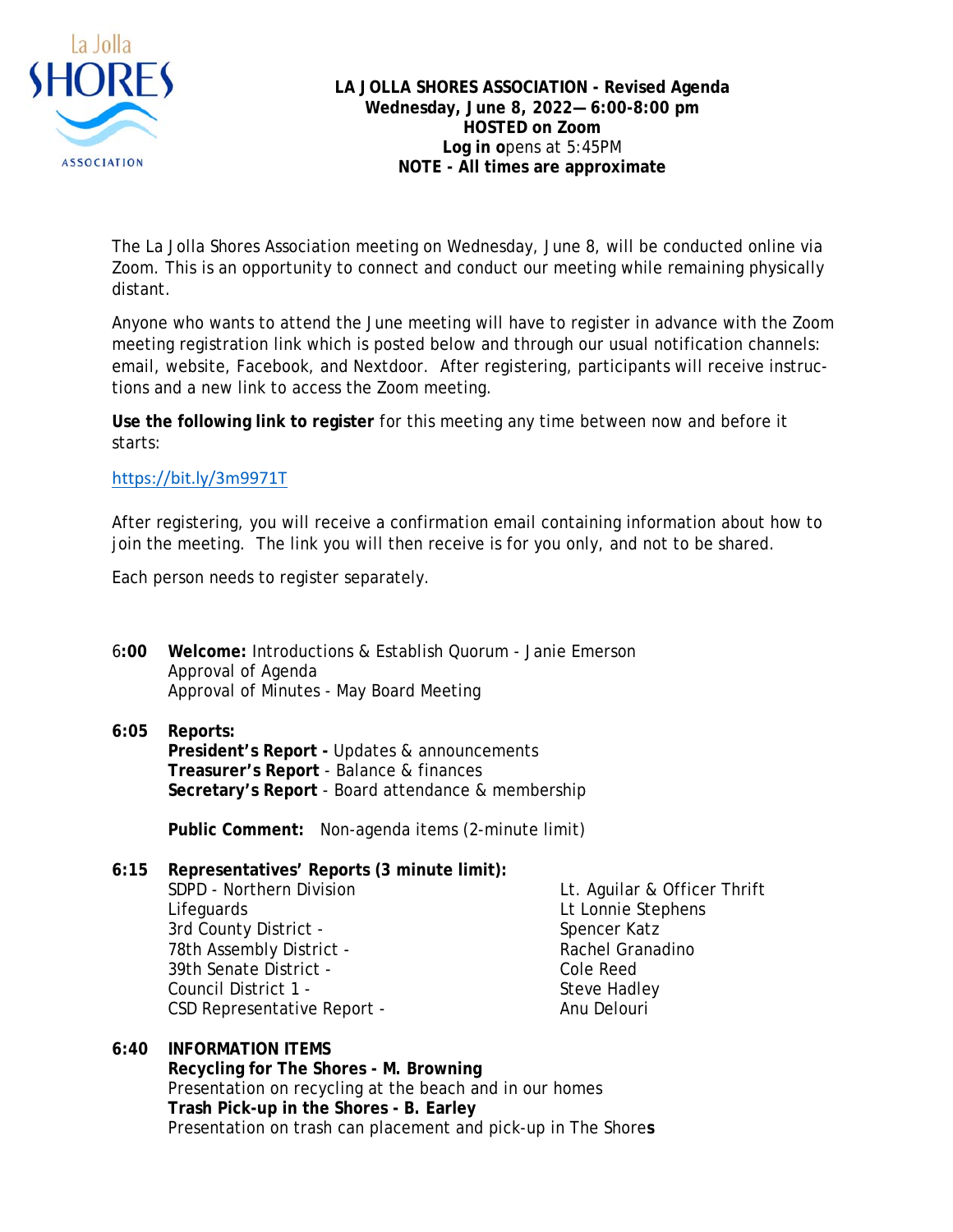

**LA JOLLA SHORES ASSOCIATION - Revised Agenda Wednesday, June 8, 2022— 6:00-8:00 pm HOSTED on Zoom Log in o**pens at 5:45PM **NOTE - All times are approximate** 

The La Jolla Shores Association meeting on Wednesday, June 8, will be conducted online via Zoom. This is an opportunity to connect and conduct our meeting while remaining physically distant.

Anyone who wants to attend the June meeting will have to register in advance with the Zoom meeting registration link which is posted below and through our usual notification channels: email, website, Facebook, and Nextdoor. After registering, participants will receive instructions and a new link to access the Zoom meeting.

**Use the following link to register** for this meeting any time between now and before it starts:

## https://bit.ly/3m9971T

After registering, you will receive a confirmation email containing information about how to join the meeting. The link you will then receive is for you only, and not to be shared.

Each person needs to register separately.

- 6**:00 Welcome:** Introductions & Establish Quorum Janie Emerson Approval of Agenda Approval of Minutes - May Board Meeting
- **6:05 Reports: President's Report -** Updates & announcements **Treasurer's Report** - Balance & finances **Secretary's Report** - Board attendance & membership

**Public Comment:** Non-agenda items (2-minute limit)

**6:15 Representatives' Reports (3 minute limit):**  SDPD - Northern Division **Let. Aguilar & Officer Thrift**  Lifeguards Lt Lonnie Stephens 3rd County District - Spencer Katz 78th Assembly District - The Rachel Granadino 39th Senate District - Cole Reed Council District 1 - Steve Hadley CSD Representative Report - Anu Delouri

**6:40 INFORMATION ITEMS Recycling for The Shores - M. Browning**  Presentation on recycling at the beach and in our homes **Trash Pick-up in the Shores - B. Earley**  Presentation on trash can placement and pick-up in The Shore**s**